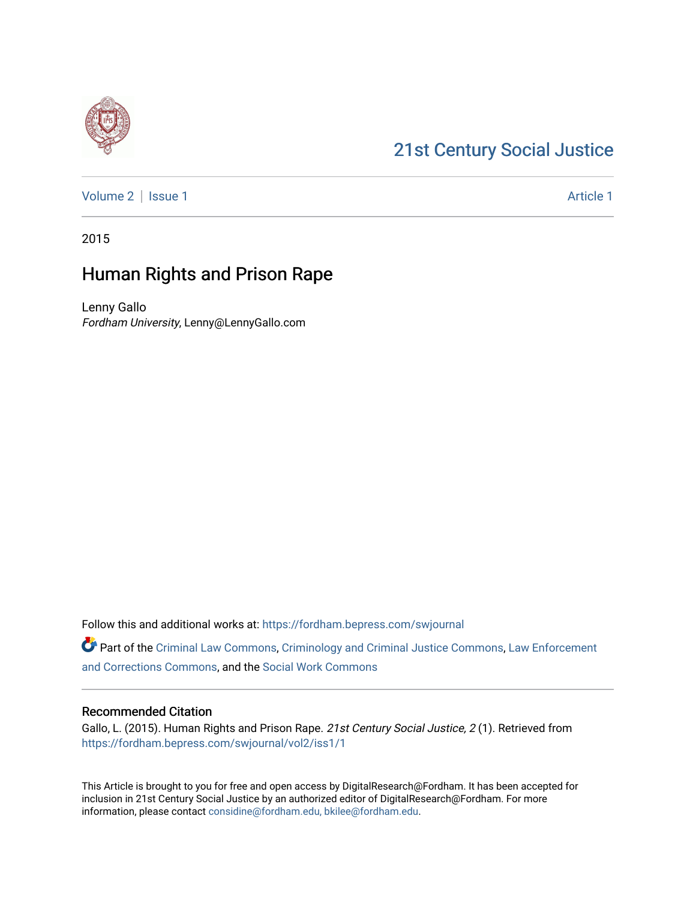# [21st Century Social Justice](https://fordham.bepress.com/swjournal)

[Volume 2](https://fordham.bepress.com/swjournal/vol2) | [Issue 1](https://fordham.bepress.com/swjournal/vol2/iss1) Article 1

2015

# Human Rights and Prison Rape

Lenny Gallo Fordham University, Lenny@LennyGallo.com

Follow this and additional works at: [https://fordham.bepress.com/swjournal](https://fordham.bepress.com/swjournal?utm_source=fordham.bepress.com%2Fswjournal%2Fvol2%2Fiss1%2F1&utm_medium=PDF&utm_campaign=PDFCoverPages) 

Part of the [Criminal Law Commons,](http://network.bepress.com/hgg/discipline/912?utm_source=fordham.bepress.com%2Fswjournal%2Fvol2%2Fiss1%2F1&utm_medium=PDF&utm_campaign=PDFCoverPages) [Criminology and Criminal Justice Commons](http://network.bepress.com/hgg/discipline/367?utm_source=fordham.bepress.com%2Fswjournal%2Fvol2%2Fiss1%2F1&utm_medium=PDF&utm_campaign=PDFCoverPages), [Law Enforcement](http://network.bepress.com/hgg/discipline/854?utm_source=fordham.bepress.com%2Fswjournal%2Fvol2%2Fiss1%2F1&utm_medium=PDF&utm_campaign=PDFCoverPages) [and Corrections Commons](http://network.bepress.com/hgg/discipline/854?utm_source=fordham.bepress.com%2Fswjournal%2Fvol2%2Fiss1%2F1&utm_medium=PDF&utm_campaign=PDFCoverPages), and the [Social Work Commons](http://network.bepress.com/hgg/discipline/713?utm_source=fordham.bepress.com%2Fswjournal%2Fvol2%2Fiss1%2F1&utm_medium=PDF&utm_campaign=PDFCoverPages)

#### Recommended Citation

Gallo, L. (2015). Human Rights and Prison Rape. 21st Century Social Justice, 2 (1). Retrieved from [https://fordham.bepress.com/swjournal/vol2/iss1/1](https://fordham.bepress.com/swjournal/vol2/iss1/1?utm_source=fordham.bepress.com%2Fswjournal%2Fvol2%2Fiss1%2F1&utm_medium=PDF&utm_campaign=PDFCoverPages) 

This Article is brought to you for free and open access by DigitalResearch@Fordham. It has been accepted for inclusion in 21st Century Social Justice by an authorized editor of DigitalResearch@Fordham. For more information, please contact [considine@fordham.edu, bkilee@fordham.edu](mailto:considine@fordham.edu,%20bkilee@fordham.edu).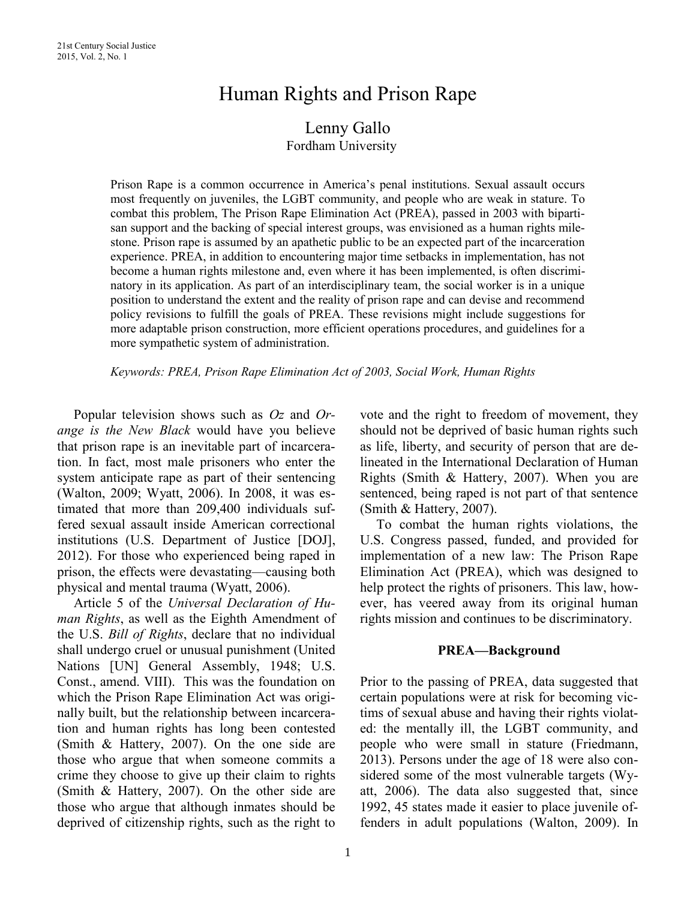# Human Rights and Prison Rape

# Lenny Gallo Fordham University

Prison Rape is a common occurrence in America's penal institutions. Sexual assault occurs most frequently on juveniles, the LGBT community, and people who are weak in stature. To combat this problem, The Prison Rape Elimination Act (PREA), passed in 2003 with bipartisan support and the backing of special interest groups, was envisioned as a human rights milestone. Prison rape is assumed by an apathetic public to be an expected part of the incarceration experience. PREA, in addition to encountering major time setbacks in implementation, has not become a human rights milestone and, even where it has been implemented, is often discriminatory in its application. As part of an interdisciplinary team, the social worker is in a unique position to understand the extent and the reality of prison rape and can devise and recommend policy revisions to fulfill the goals of PREA. These revisions might include suggestions for more adaptable prison construction, more efficient operations procedures, and guidelines for a more sympathetic system of administration.

*Keywords: PREA, Prison Rape Elimination Act of 2003, Social Work, Human Rights*

Popular television shows such as *Oz* and *Orange is the New Black* would have you believe that prison rape is an inevitable part of incarceration. In fact, most male prisoners who enter the system anticipate rape as part of their sentencing (Walton, 2009; Wyatt, 2006). In 2008, it was estimated that more than 209,400 individuals suffered sexual assault inside American correctional institutions (U.S. Department of Justice [DOJ], 2012). For those who experienced being raped in prison, the effects were devastating—causing both physical and mental trauma (Wyatt, 2006).

Article 5 of the *Universal Declaration of Human Rights*, as well as the Eighth Amendment of the U.S. *Bill of Rights*, declare that no individual shall undergo cruel or unusual punishment (United Nations [UN] General Assembly, 1948; U.S. Const., amend. VIII). This was the foundation on which the Prison Rape Elimination Act was originally built, but the relationship between incarceration and human rights has long been contested (Smith & Hattery, 2007). On the one side are those who argue that when someone commits a crime they choose to give up their claim to rights (Smith & Hattery, 2007). On the other side are those who argue that although inmates should be deprived of citizenship rights, such as the right to

vote and the right to freedom of movement, they should not be deprived of basic human rights such as life, liberty, and security of person that are delineated in the International Declaration of Human Rights (Smith & Hattery, 2007). When you are sentenced, being raped is not part of that sentence (Smith & Hattery, 2007).

To combat the human rights violations, the U.S. Congress passed, funded, and provided for implementation of a new law: The Prison Rape Elimination Act (PREA), which was designed to help protect the rights of prisoners. This law, however, has veered away from its original human rights mission and continues to be discriminatory.

# **PREA—Background**

Prior to the passing of PREA, data suggested that certain populations were at risk for becoming victims of sexual abuse and having their rights violated: the mentally ill, the LGBT community, and people who were small in stature (Friedmann, 2013). Persons under the age of 18 were also considered some of the most vulnerable targets (Wyatt, 2006). The data also suggested that, since 1992, 45 states made it easier to place juvenile offenders in adult populations (Walton, 2009). In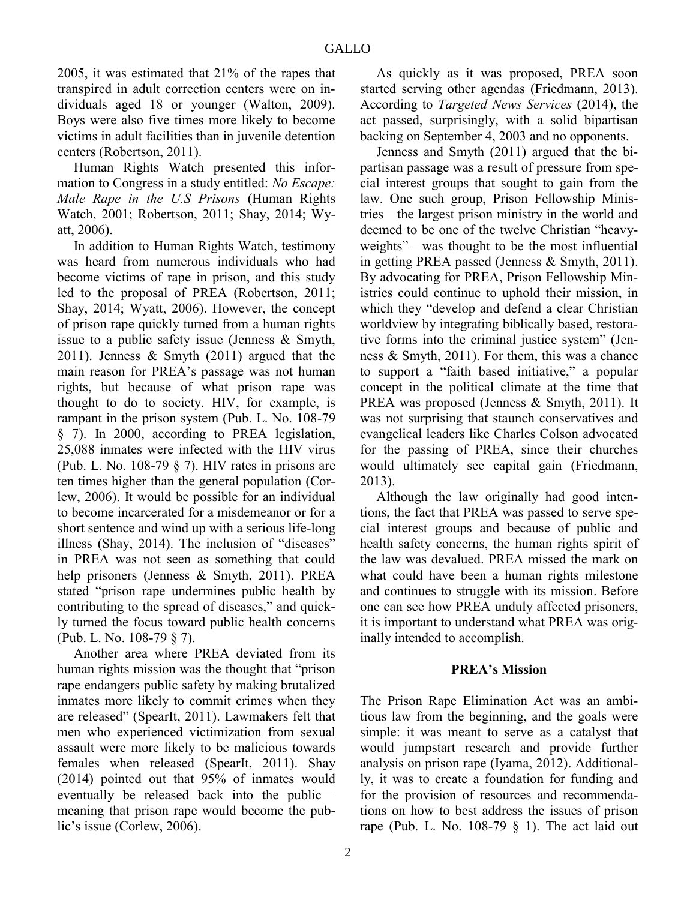2005, it was estimated that 21% of the rapes that transpired in adult correction centers were on individuals aged 18 or younger (Walton, 2009). Boys were also five times more likely to become victims in adult facilities than in juvenile detention centers (Robertson, 2011).

Human Rights Watch presented this information to Congress in a study entitled: *No Escape: Male Rape in the U.S Prisons* (Human Rights Watch, 2001; Robertson, 2011; Shay, 2014; Wyatt, 2006).

In addition to Human Rights Watch, testimony was heard from numerous individuals who had become victims of rape in prison, and this study led to the proposal of PREA (Robertson, 2011; Shay, 2014; Wyatt, 2006). However, the concept of prison rape quickly turned from a human rights issue to a public safety issue (Jenness & Smyth, 2011). Jenness & Smyth (2011) argued that the main reason for PREA's passage was not human rights, but because of what prison rape was thought to do to society. HIV, for example, is rampant in the prison system (Pub. L. No. 108-79 § 7). In 2000, according to PREA legislation, 25,088 inmates were infected with the HIV virus (Pub. L. No. 108-79 § 7). HIV rates in prisons are ten times higher than the general population (Corlew, 2006). It would be possible for an individual to become incarcerated for a misdemeanor or for a short sentence and wind up with a serious life-long illness (Shay, 2014). The inclusion of "diseases" in PREA was not seen as something that could help prisoners (Jenness & Smyth, 2011). PREA stated "prison rape undermines public health by contributing to the spread of diseases," and quickly turned the focus toward public health concerns (Pub. L. No. 108-79 § 7).

Another area where PREA deviated from its human rights mission was the thought that "prison rape endangers public safety by making brutalized inmates more likely to commit crimes when they are released" (SpearIt, 2011). Lawmakers felt that men who experienced victimization from sexual assault were more likely to be malicious towards females when released (SpearIt, 2011). Shay (2014) pointed out that 95% of inmates would eventually be released back into the public meaning that prison rape would become the public's issue (Corlew, 2006).

As quickly as it was proposed, PREA soon started serving other agendas (Friedmann, 2013). According to *Targeted News Services* (2014), the act passed, surprisingly, with a solid bipartisan backing on September 4, 2003 and no opponents.

Jenness and Smyth (2011) argued that the bipartisan passage was a result of pressure from special interest groups that sought to gain from the law. One such group, Prison Fellowship Ministries—the largest prison ministry in the world and deemed to be one of the twelve Christian "heavyweights"—was thought to be the most influential in getting PREA passed (Jenness & Smyth, 2011). By advocating for PREA, Prison Fellowship Ministries could continue to uphold their mission, in which they "develop and defend a clear Christian worldview by integrating biblically based, restorative forms into the criminal justice system" (Jenness & Smyth, 2011). For them, this was a chance to support a "faith based initiative," a popular concept in the political climate at the time that PREA was proposed (Jenness & Smyth, 2011). It was not surprising that staunch conservatives and evangelical leaders like Charles Colson advocated for the passing of PREA, since their churches would ultimately see capital gain (Friedmann, 2013).

Although the law originally had good intentions, the fact that PREA was passed to serve special interest groups and because of public and health safety concerns, the human rights spirit of the law was devalued. PREA missed the mark on what could have been a human rights milestone and continues to struggle with its mission. Before one can see how PREA unduly affected prisoners, it is important to understand what PREA was originally intended to accomplish.

#### **PREA's Mission**

The Prison Rape Elimination Act was an ambitious law from the beginning, and the goals were simple: it was meant to serve as a catalyst that would jumpstart research and provide further analysis on prison rape (Iyama, 2012). Additionally, it was to create a foundation for funding and for the provision of resources and recommendations on how to best address the issues of prison rape (Pub. L. No.  $108-79 \tbinom{8}{1}$ . The act laid out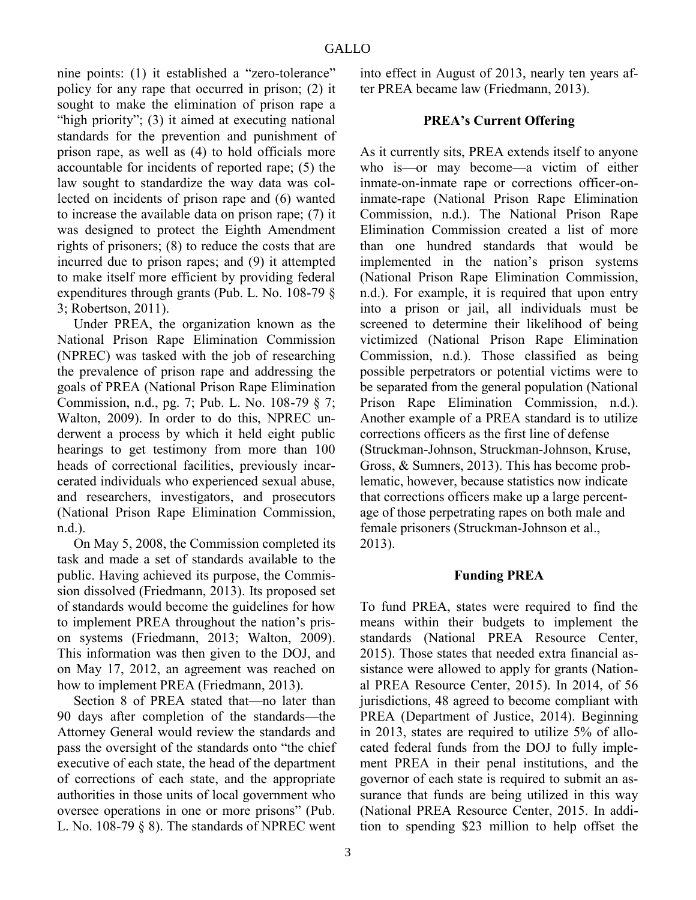nine points: (1) it established a "zero-tolerance" policy for any rape that occurred in prison; (2) it sought to make the elimination of prison rape a "high priority"; (3) it aimed at executing national standards for the prevention and punishment of prison rape, as well as (4) to hold officials more accountable for incidents of reported rape; (5) the law sought to standardize the way data was collected on incidents of prison rape and (6) wanted to increase the available data on prison rape; (7) it was designed to protect the Eighth Amendment rights of prisoners; (8) to reduce the costs that are incurred due to prison rapes; and (9) it attempted to make itself more efficient by providing federal expenditures through grants (Pub. L. No. 108-79 § 3; Robertson, 2011).

Under PREA, the organization known as the National Prison Rape Elimination Commission (NPREC) was tasked with the job of researching the prevalence of prison rape and addressing the goals of PREA (National Prison Rape Elimination Commission, n.d., pg. 7; Pub. L. No. 108-79 § 7; Walton, 2009). In order to do this, NPREC underwent a process by which it held eight public hearings to get testimony from more than 100 heads of correctional facilities, previously incarcerated individuals who experienced sexual abuse, and researchers, investigators, and prosecutors (National Prison Rape Elimination Commission, n.d.).

On May 5, 2008, the Commission completed its task and made a set of standards available to the public. Having achieved its purpose, the Commission dissolved (Friedmann, 2013). Its proposed set of standards would become the guidelines for how to implement PREA throughout the nation's prison systems (Friedmann, 2013; Walton, 2009). This information was then given to the DOJ, and on May 17, 2012, an agreement was reached on how to implement PREA (Friedmann, 2013).

Section 8 of PREA stated that—no later than 90 days after completion of the standards—the Attorney General would review the standards and pass the oversight of the standards onto "the chief executive of each state, the head of the department of corrections of each state, and the appropriate authorities in those units of local government who oversee operations in one or more prisons" (Pub. L. No. 108-79 § 8). The standards of NPREC went into effect in August of 2013, nearly ten years after PREA became law (Friedmann, 2013).

# **PREA's Current Offering**

As it currently sits, PREA extends itself to anyone who is—or may become—a victim of either inmate-on-inmate rape or corrections officer-oninmate-rape (National Prison Rape Elimination Commission, n.d.). The National Prison Rape Elimination Commission created a list of more than one hundred standards that would be implemented in the nation's prison systems (National Prison Rape Elimination Commission, n.d.). For example, it is required that upon entry into a prison or jail, all individuals must be screened to determine their likelihood of being victimized (National Prison Rape Elimination Commission, n.d.). Those classified as being possible perpetrators or potential victims were to be separated from the general population (National Prison Rape Elimination Commission, n.d.). Another example of a PREA standard is to utilize corrections officers as the first line of defense (Struckman-Johnson, Struckman-Johnson, Kruse, Gross, & Sumners, 2013). This has become problematic, however, because statistics now indicate that corrections officers make up a large percentage of those perpetrating rapes on both male and female prisoners (Struckman-Johnson et al., 2013).

### **Funding PREA**

To fund PREA, states were required to find the means within their budgets to implement the standards (National PREA Resource Center, 2015). Those states that needed extra financial assistance were allowed to apply for grants (National PREA Resource Center, 2015). In 2014, of 56 jurisdictions, 48 agreed to become compliant with PREA (Department of Justice, 2014). Beginning in 2013, states are required to utilize 5% of allocated federal funds from the DOJ to fully implement PREA in their penal institutions, and the governor of each state is required to submit an assurance that funds are being utilized in this way (National PREA Resource Center, 2015. In addition to spending \$23 million to help offset the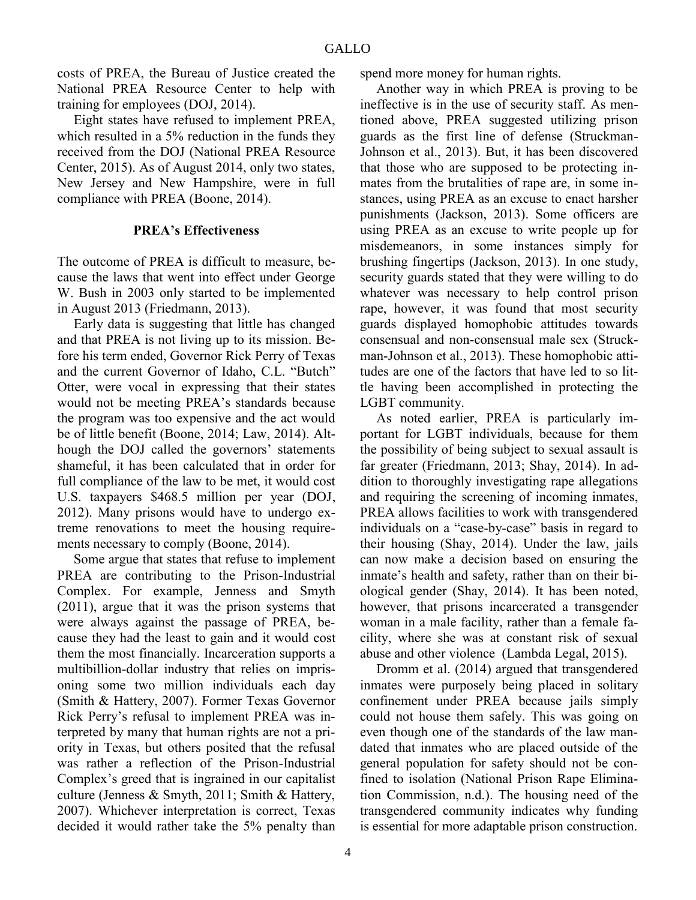costs of PREA, the Bureau of Justice created the National PREA Resource Center to help with training for employees (DOJ, 2014).

Eight states have refused to implement PREA, which resulted in a 5% reduction in the funds they received from the DOJ (National PREA Resource Center, 2015). As of August 2014, only two states, New Jersey and New Hampshire, were in full compliance with PREA (Boone, 2014).

#### **PREA's Effectiveness**

The outcome of PREA is difficult to measure, because the laws that went into effect under George W. Bush in 2003 only started to be implemented in August 2013 (Friedmann, 2013).

Early data is suggesting that little has changed and that PREA is not living up to its mission. Before his term ended, Governor Rick Perry of Texas and the current Governor of Idaho, C.L. "Butch" Otter, were vocal in expressing that their states would not be meeting PREA's standards because the program was too expensive and the act would be of little benefit (Boone, 2014; Law, 2014). Although the DOJ called the governors' statements shameful, it has been calculated that in order for full compliance of the law to be met, it would cost U.S. taxpayers \$468.5 million per year (DOJ, 2012). Many prisons would have to undergo extreme renovations to meet the housing requirements necessary to comply (Boone, 2014).

Some argue that states that refuse to implement PREA are contributing to the Prison-Industrial Complex. For example, Jenness and Smyth (2011), argue that it was the prison systems that were always against the passage of PREA, because they had the least to gain and it would cost them the most financially. Incarceration supports a multibillion-dollar industry that relies on imprisoning some two million individuals each day (Smith & Hattery, 2007). Former Texas Governor Rick Perry's refusal to implement PREA was interpreted by many that human rights are not a priority in Texas, but others posited that the refusal was rather a reflection of the Prison-Industrial Complex's greed that is ingrained in our capitalist culture (Jenness & Smyth, 2011; Smith & Hattery, 2007). Whichever interpretation is correct, Texas decided it would rather take the 5% penalty than

spend more money for human rights.

Another way in which PREA is proving to be ineffective is in the use of security staff. As mentioned above, PREA suggested utilizing prison guards as the first line of defense (Struckman-Johnson et al., 2013). But, it has been discovered that those who are supposed to be protecting inmates from the brutalities of rape are, in some instances, using PREA as an excuse to enact harsher punishments (Jackson, 2013). Some officers are using PREA as an excuse to write people up for misdemeanors, in some instances simply for brushing fingertips (Jackson, 2013). In one study, security guards stated that they were willing to do whatever was necessary to help control prison rape, however, it was found that most security guards displayed homophobic attitudes towards consensual and non-consensual male sex (Struckman-Johnson et al., 2013). These homophobic attitudes are one of the factors that have led to so little having been accomplished in protecting the LGBT community.

As noted earlier, PREA is particularly important for LGBT individuals, because for them the possibility of being subject to sexual assault is far greater (Friedmann, 2013; Shay, 2014). In addition to thoroughly investigating rape allegations and requiring the screening of incoming inmates, PREA allows facilities to work with transgendered individuals on a "case-by-case" basis in regard to their housing (Shay, 2014). Under the law, jails can now make a decision based on ensuring the inmate's health and safety, rather than on their biological gender (Shay, 2014). It has been noted, however, that prisons incarcerated a transgender woman in a male facility, rather than a female facility, where she was at constant risk of sexual abuse and other violence (Lambda Legal, 2015).

Dromm et al. (2014) argued that transgendered inmates were purposely being placed in solitary confinement under PREA because jails simply could not house them safely. This was going on even though one of the standards of the law mandated that inmates who are placed outside of the general population for safety should not be confined to isolation (National Prison Rape Elimination Commission, n.d.). The housing need of the transgendered community indicates why funding is essential for more adaptable prison construction.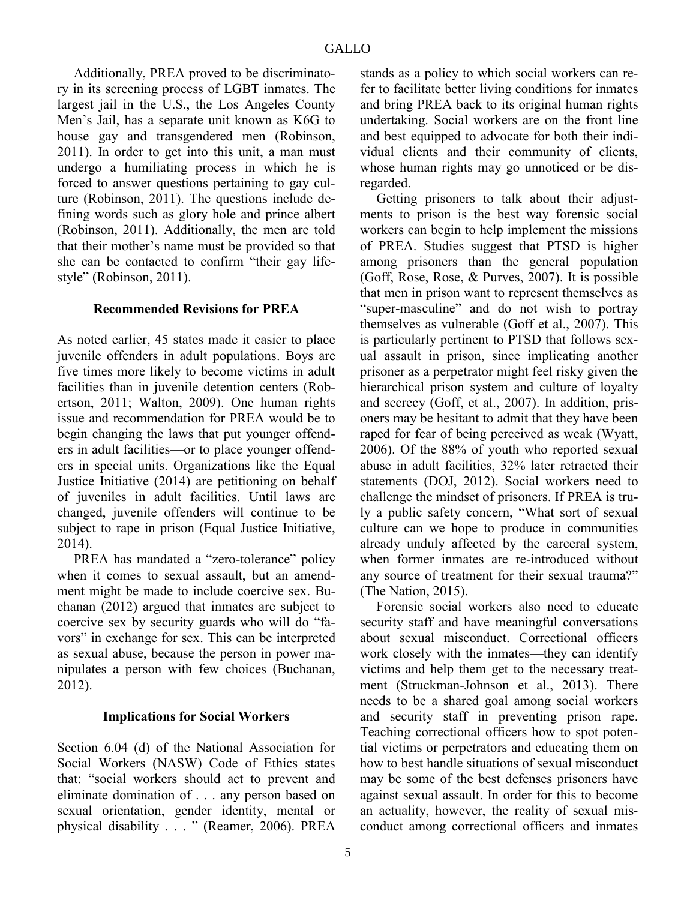Additionally, PREA proved to be discriminatory in its screening process of LGBT inmates. The largest jail in the U.S., the Los Angeles County Men's Jail, has a separate unit known as K6G to house gay and transgendered men (Robinson, 2011). In order to get into this unit, a man must undergo a humiliating process in which he is forced to answer questions pertaining to gay culture (Robinson, 2011). The questions include defining words such as glory hole and prince albert (Robinson, 2011). Additionally, the men are told that their mother's name must be provided so that she can be contacted to confirm "their gay lifestyle" (Robinson, 2011).

### **Recommended Revisions for PREA**

As noted earlier, 45 states made it easier to place juvenile offenders in adult populations. Boys are five times more likely to become victims in adult facilities than in juvenile detention centers (Robertson, 2011; Walton, 2009). One human rights issue and recommendation for PREA would be to begin changing the laws that put younger offenders in adult facilities—or to place younger offenders in special units. Organizations like the Equal Justice Initiative (2014) are petitioning on behalf of juveniles in adult facilities. Until laws are changed, juvenile offenders will continue to be subject to rape in prison (Equal Justice Initiative, 2014).

PREA has mandated a "zero-tolerance" policy when it comes to sexual assault, but an amendment might be made to include coercive sex. Buchanan (2012) argued that inmates are subject to coercive sex by security guards who will do "favors" in exchange for sex. This can be interpreted as sexual abuse, because the person in power manipulates a person with few choices (Buchanan, 2012).

#### **Implications for Social Workers**

Section 6.04 (d) of the National Association for Social Workers (NASW) Code of Ethics states that: "social workers should act to prevent and eliminate domination of . . . any person based on sexual orientation, gender identity, mental or physical disability . . . " (Reamer, 2006). PREA

stands as a policy to which social workers can refer to facilitate better living conditions for inmates and bring PREA back to its original human rights undertaking. Social workers are on the front line and best equipped to advocate for both their individual clients and their community of clients, whose human rights may go unnoticed or be disregarded.

Getting prisoners to talk about their adjustments to prison is the best way forensic social workers can begin to help implement the missions of PREA. Studies suggest that PTSD is higher among prisoners than the general population (Goff, Rose, Rose, & Purves, 2007). It is possible that men in prison want to represent themselves as "super-masculine" and do not wish to portray themselves as vulnerable (Goff et al., 2007). This is particularly pertinent to PTSD that follows sexual assault in prison, since implicating another prisoner as a perpetrator might feel risky given the hierarchical prison system and culture of loyalty and secrecy (Goff, et al., 2007). In addition, prisoners may be hesitant to admit that they have been raped for fear of being perceived as weak (Wyatt, 2006). Of the 88% of youth who reported sexual abuse in adult facilities, 32% later retracted their statements (DOJ, 2012). Social workers need to challenge the mindset of prisoners. If PREA is truly a public safety concern, "What sort of sexual culture can we hope to produce in communities already unduly affected by the carceral system, when former inmates are re-introduced without any source of treatment for their sexual trauma?" (The Nation, 2015).

Forensic social workers also need to educate security staff and have meaningful conversations about sexual misconduct. Correctional officers work closely with the inmates—they can identify victims and help them get to the necessary treatment (Struckman-Johnson et al., 2013). There needs to be a shared goal among social workers and security staff in preventing prison rape. Teaching correctional officers how to spot potential victims or perpetrators and educating them on how to best handle situations of sexual misconduct may be some of the best defenses prisoners have against sexual assault. In order for this to become an actuality, however, the reality of sexual misconduct among correctional officers and inmates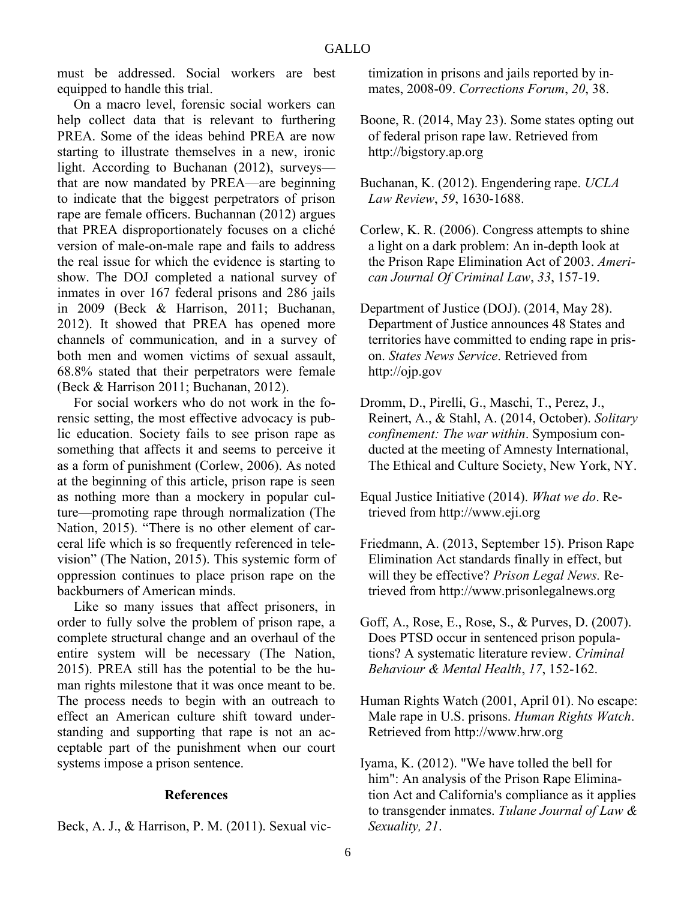must be addressed. Social workers are best equipped to handle this trial.

On a macro level, forensic social workers can help collect data that is relevant to furthering PREA. Some of the ideas behind PREA are now starting to illustrate themselves in a new, ironic light. According to Buchanan (2012), surveys that are now mandated by PREA—are beginning to indicate that the biggest perpetrators of prison rape are female officers. Buchannan (2012) argues that PREA disproportionately focuses on a cliché version of male-on-male rape and fails to address the real issue for which the evidence is starting to show. The DOJ completed a national survey of inmates in over 167 federal prisons and 286 jails in 2009 (Beck & Harrison, 2011; Buchanan, 2012). It showed that PREA has opened more channels of communication, and in a survey of both men and women victims of sexual assault, 68.8% stated that their perpetrators were female (Beck & Harrison 2011; Buchanan, 2012).

For social workers who do not work in the forensic setting, the most effective advocacy is public education. Society fails to see prison rape as something that affects it and seems to perceive it as a form of punishment (Corlew, 2006). As noted at the beginning of this article, prison rape is seen as nothing more than a mockery in popular culture—promoting rape through normalization (The Nation, 2015). "There is no other element of carceral life which is so frequently referenced in television" (The Nation, 2015). This systemic form of oppression continues to place prison rape on the backburners of American minds.

Like so many issues that affect prisoners, in order to fully solve the problem of prison rape, a complete structural change and an overhaul of the entire system will be necessary (The Nation, 2015). PREA still has the potential to be the human rights milestone that it was once meant to be. The process needs to begin with an outreach to effect an American culture shift toward understanding and supporting that rape is not an acceptable part of the punishment when our court systems impose a prison sentence.

#### **References**

Beck, A. J., & Harrison, P. M. (2011). Sexual vic-

timization in prisons and jails reported by inmates, 2008-09. *Corrections Forum*, *20*, 38.

Boone, R. (2014, May 23). Some states opting out of federal prison rape law. Retrieved from http://bigstory.ap.org

Buchanan, K. (2012). Engendering rape. *UCLA Law Review*, *59*, 1630-1688.

- Corlew, K. R. (2006). Congress attempts to shine a light on a dark problem: An in-depth look at the Prison Rape Elimination Act of 2003. *American Journal Of Criminal Law*, *33*, 157-19.
- Department of Justice (DOJ). (2014, May 28). Department of Justice announces 48 States and territories have committed to ending rape in prison. *States News Service*. Retrieved from http://ojp.gov
- Dromm, D., Pirelli, G., Maschi, T., Perez, J., Reinert, A., & Stahl, A. (2014, October). *Solitary confinement: The war within*. Symposium conducted at the meeting of Amnesty International, The Ethical and Culture Society, New York, NY.
- Equal Justice Initiative (2014). *What we do*. Retrieved from http://www.eji.org
- Friedmann, A. (2013, September 15). Prison Rape Elimination Act standards finally in effect, but will they be effective? *Prison Legal News.* Retrieved from http://www.prisonlegalnews.org
- Goff, A., Rose, E., Rose, S., & Purves, D. (2007). Does PTSD occur in sentenced prison populations? A systematic literature review. *Criminal Behaviour & Mental Health*, *17*, 152-162.
- Human Rights Watch (2001, April 01). No escape: Male rape in U.S. prisons. *Human Rights Watch*. Retrieved from http://www.hrw.org
- Iyama, K. (2012). "We have tolled the bell for him": An analysis of the Prison Rape Elimination Act and California's compliance as it applies to transgender inmates. *Tulane Journal of Law & Sexuality, 21*.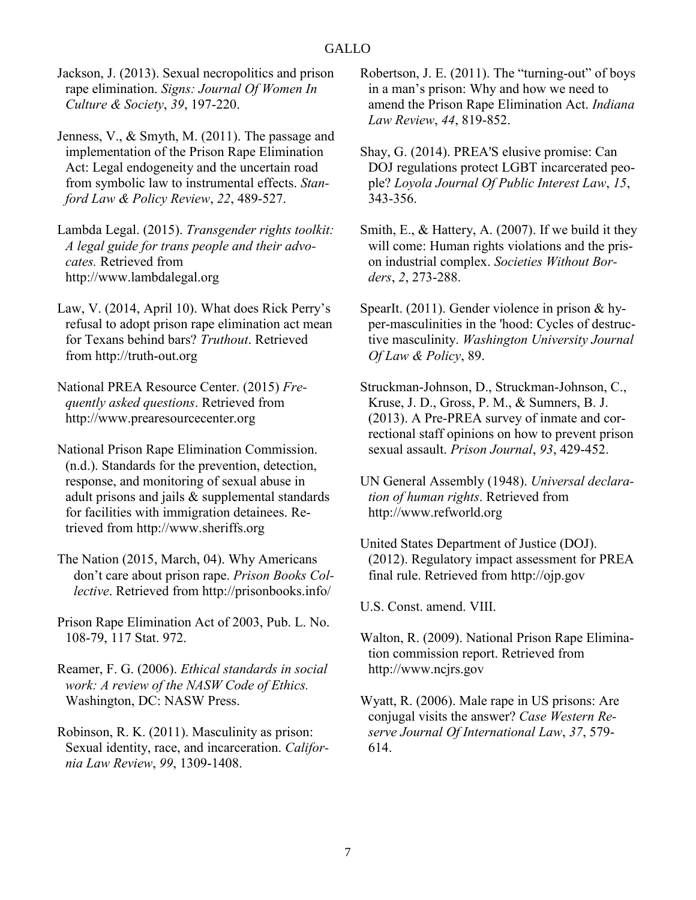Jackson, J. (2013). Sexual necropolitics and prison rape elimination. *Signs: Journal Of Women In Culture & Society*, *39*, 197-220.

Jenness, V., & Smyth, M. (2011). The passage and implementation of the Prison Rape Elimination Act: Legal endogeneity and the uncertain road from symbolic law to instrumental effects. *Stanford Law & Policy Review*, *22*, 489-527.

Lambda Legal. (2015). *Transgender rights toolkit: A legal guide for trans people and their advocates.* Retrieved from http://www.lambdalegal.org

Law, V. (2014, April 10). What does Rick Perry's refusal to adopt prison rape elimination act mean for Texans behind bars? *Truthout*. Retrieved from http://truth-out.org

National PREA Resource Center. (2015) *Frequently asked questions*. Retrieved from http://www.prearesourcecenter.org

National Prison Rape Elimination Commission. (n.d.). Standards for the prevention, detection, response, and monitoring of sexual abuse in adult prisons and jails & supplemental standards for facilities with immigration detainees. Retrieved from http://www.sheriffs.org

The Nation (2015, March, 04). Why Americans don't care about prison rape. *Prison Books Collective*. Retrieved from http://prisonbooks.info/

Prison Rape Elimination Act of 2003, Pub. L. No. 108-79, 117 Stat. 972.

Reamer, F. G. (2006). *Ethical standards in social work: A review of the NASW Code of Ethics.* Washington, DC: NASW Press.

Robinson, R. K. (2011). Masculinity as prison: Sexual identity, race, and incarceration. *California Law Review*, *99*, 1309-1408.

Robertson, J. E. (2011). The "turning-out" of boys in a man's prison: Why and how we need to amend the Prison Rape Elimination Act. *Indiana Law Review*, *44*, 819-852.

Shay, G. (2014). PREA'S elusive promise: Can DOJ regulations protect LGBT incarcerated people? *Loyola Journal Of Public Interest Law*, *15*, 343-356.

Smith, E., & Hattery, A. (2007). If we build it they will come: Human rights violations and the prison industrial complex. *Societies Without Borders*, *2*, 273-288.

SpearIt. (2011). Gender violence in prison & hyper-masculinities in the 'hood: Cycles of destructive masculinity. *Washington University Journal Of Law & Policy*, 89.

Struckman-Johnson, D., Struckman-Johnson, C., Kruse, J. D., Gross, P. M., & Sumners, B. J. (2013). A Pre-PREA survey of inmate and correctional staff opinions on how to prevent prison sexual assault. *Prison Journal*, *93*, 429-452.

UN General Assembly (1948). *Universal declaration of human rights*. Retrieved from http://www.refworld.org

United States Department of Justice (DOJ). (2012). Regulatory impact assessment for PREA final rule. Retrieved from http://ojp.gov

U.S. Const. amend. VIII.

Walton, R. (2009). National Prison Rape Elimination commission report. Retrieved from http://www.ncjrs.gov

Wyatt, R. (2006). Male rape in US prisons: Are conjugal visits the answer? *Case Western Reserve Journal Of International Law*, *37*, 579- 614.